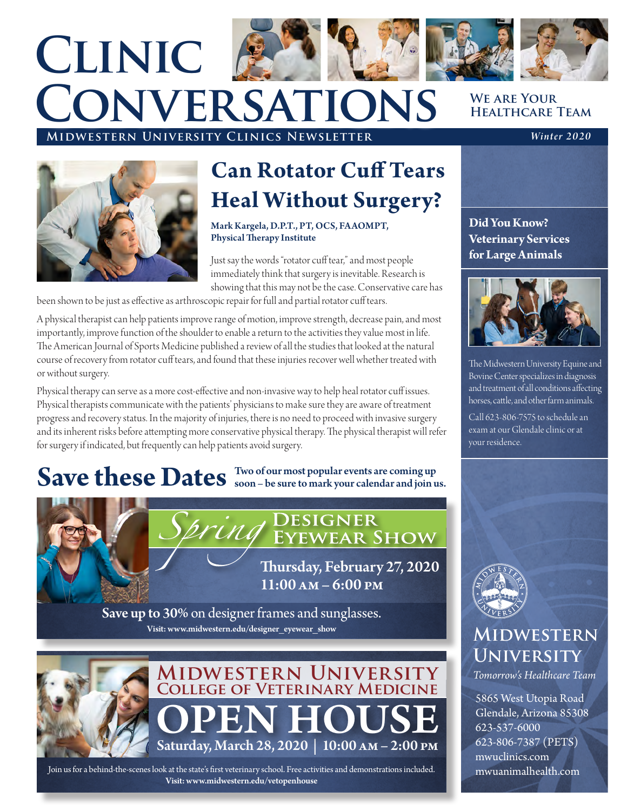# **We are Your Midwestern University Clinics Newsletter** *Winter 2020* **Clinic Conversations**



### **Can Rotator Cuff Tears Heal Without Surgery?**

Mark Kargela, D.P.T., PT, OCS, FAAOMPT, Physical Therapy Institute

Just say the words "rotator cuff tear," and most people immediately think that surgery is inevitable. Research is showing that this may not be the case. Conservative care has

been shown to be just as effective as arthroscopic repair for full and partial rotator cuff tears.

A physical therapist can help patients improve range of motion, improve strength, decrease pain, and most importantly, improve function of the shoulder to enable a return to the activities they value most in life. The American Journal of Sports Medicine published a review of all the studies that looked at the natural course of recovery from rotator cuff tears, and found that these injuries recover well whether treated with or without surgery.

Physical therapy can serve as a more cost-effective and non-invasive way to help heal rotator cuff issues. Physical therapists communicate with the patients' physicians to make sure they are aware of treatment progress and recovery status. In the majority of injuries, there is no need to proceed with invasive surgery and its inherent risks before attempting more conservative physical therapy. The physical therapist will refer for surgery if indicated, but frequently can help patients avoid surgery.

## Save these Dates Soon – be sure to mark your calendar and join us.



Thursday, February 27, 2020 11:00 am – 6:00 pm

Save up to 30% on designer frames and sunglasses. Visit: www.midwestern.edu/designer\_eyewear\_show



**OPEN HOUSE**<br>Saturday, March 28, 2020 | 10:00 AM – 2:00 PM **Midwestern University College of Veterinary Medicine**

Join us for a behind-the-scenes look at the state's first veterinary school. Free activities and demonstrations included. Visit: www.midwestern.edu/vetopenhouse

## **Healthcare Team**

**Did You Know? Veterinary Services for Large Animals**



The Midwestern University Equine and Bovine Center specializes in diagnosis and treatment of all conditions affecting horses, cattle, and other farm animals.

Call 623-806-7575 to schedule an exam at our Glendale clinic or at your residence.



### **Midwestern University**

*Tomorrow's Healthcare Team*

5865 West Utopia Road Glendale, Arizona 85308 623-537-6000 623-806-7387 (PETS) mwuclinics.com mwuanimalhealth.com